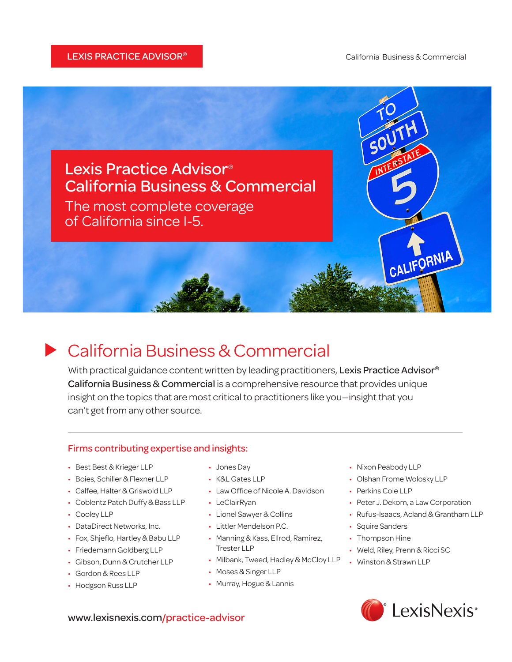

## California Business & Commercial

With practical guidance content written by leading practitioners, Lexis Practice Advisor<sup>®</sup> California Business & Commercial is a comprehensive resource that provides unique insight on the topics that are most critical to practitioners like you—insight that you can't get from any other source.

### Firms contributing expertise and insights:

- • Best Best & Krieger LLP
- Boies, Schiller & Flexner LLP
- • Calfee, Halter & Griswold LLP
- Coblentz Patch Duffy & Bass LLP
- Cooley LLP
- DataDirect Networks, Inc.
- Fox, Shjeflo, Hartley & Babu LLP
- Friedemann Goldberg LLP
- Gibson, Dunn & Crutcher LLP
- • Gordon & Rees LLP
- Hodgson Russ LLP
- Jones Day
- • K&L Gates LLP
- Law Office of Nicole A. Davidson
- • LeClairRyan
- • Lionel Sawyer & Collins
- • Littler Mendelson P.C.
- Manning & Kass, Ellrod, Ramirez, Trester LLP
- Milbank, Tweed, Hadley & McCloy LLP
- • Moses & Singer LLP
- Murray, Hogue & Lannis
- Nixon Peabody LLP
- Olshan Frome Wolosky LLP
- Perkins Coie LLP
- Peter J. Dekom, a Law Corporation
- • Rufus-Isaacs, Acland & Grantham LLP
- Squire Sanders
- Thompson Hine
- Weld, Riley, Prenn & Ricci SC
- • Winston & Strawn LLP



www.lexisnexis.com/practice-advisor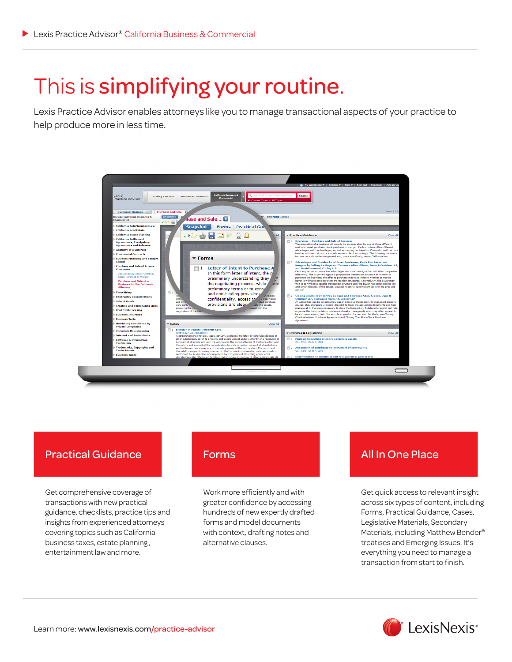# This is simplifying your routine.

Lexis Practice Advisor enables attorneys like you to manage transactional aspects of your practice to help produce more in less time.



### Practical Guidance

Get comprehensive coverage of transactions with new practical guidance, checklists, practice tips and insights from experienced attorneys covering topics such as California business taxes, estate planning , entertainment law and more.

Work more efficiently and with greater confidence by accessing hundreds of new expertly drafted forms and model documents with context, drafting notes and alternative clauses.

## Forms **All In One Place**

Get quick access to relevant insight across six types of content, including Forms, Practical Guidance, Cases, Legislative Materials, Secondary Materials, including Matthew Bender® treatises and Emerging Issues. It's everything you need to manage a transaction from start to finish.

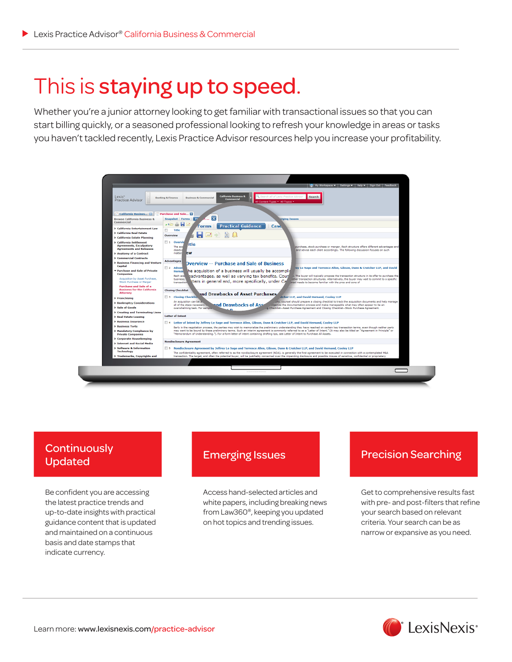## This is staying up to speed.

Whether you're a junior attorney looking to get familiar with transactional issues so that you can start billing quickly, or a seasoned professional looking to refresh your knowledge in areas or tasks you haven't tackled recently, Lexis Practice Advisor resources help you increase your profitability.



# Updated

Be confident you are accessing the latest practice trends and up-to-date insights with practical guidance content that is updated and maintained on a continuous basis and date stamps that indicate currency.

Access hand-selected articles and white papers, including breaking news from Law360®, keeping you updated on hot topics and trending issues.

## Emerging Issues<br>
Precision Searching Lindston

Get to comprehensive results fast with pre- and post-filters that refine your search based on relevant criteria. Your search can be as narrow or expansive as you need.